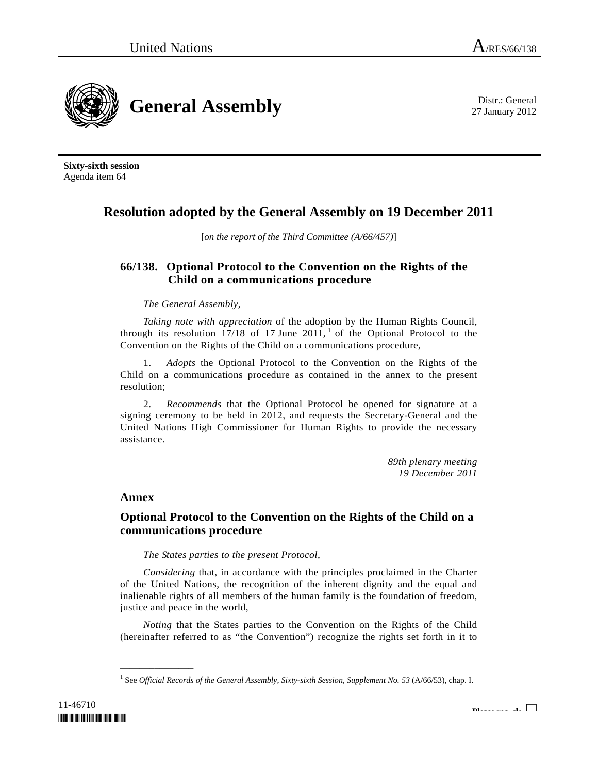



**Sixty-sixth session**  Agenda item 64

# **Resolution adopted by the General Assembly on 19 December 2011**

[*on the report of the Third Committee (A/66/457)*]

## **66/138. Optional Protocol to the Convention on the Rights of the Child on a communications procedure**

## *The General Assembly*,

*Taking note with appreciation* of the adoption by the Human Rights Council, through its resolution  $17/18$  $17/18$  of  $17$  June  $2011$ , of the Optional Protocol to the Convention on the Rights of the Child on a communications procedure,

 1. *Adopts* the Optional Protocol to the Convention on the Rights of the Child on a communications procedure as contained in the annex to the present resolution;

 2. *Recommends* that the Optional Protocol be opened for signature at a signing ceremony to be held in 2012, and requests the Secretary-General and the United Nations High Commissioner for Human Rights to provide the necessary assistance.

> *89th plenary meeting 19 December 2011*

## **Annex**

**\_\_\_\_\_\_\_\_\_\_\_\_\_\_\_** 

## **Optional Protocol to the Convention on the Rights of the Child on a communications procedure**

*The States parties to the present Protocol*,

*Considering* that, in accordance with the principles proclaimed in the Charter of the United Nations, the recognition of the inherent dignity and the equal and inalienable rights of all members of the human family is the foundation of freedom, justice and peace in the world,

*Noting* that the States parties to the Convention on the Rights of the Child (hereinafter referred to as "the Convention") recognize the rights set forth in it to

<span id="page-0-0"></span><sup>&</sup>lt;sup>1</sup> See *Official Records of the General Assembly, Sixty-sixth Session, Supplement No. 53 (A/66/53), chap. I.*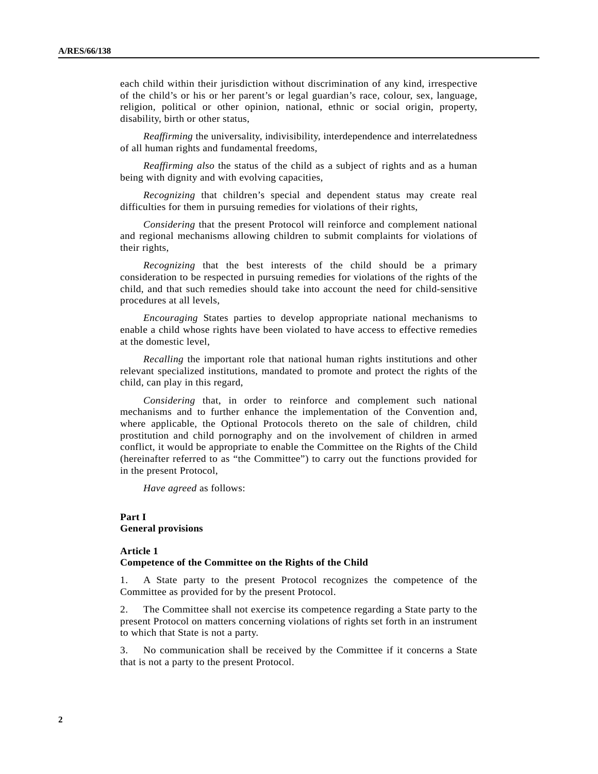each child within their jurisdiction without discrimination of any kind, irrespective of the child's or his or her parent's or legal guardian's race, colour, sex, language, religion, political or other opinion, national, ethnic or social origin, property, disability, birth or other status,

*Reaffirming* the universality, indivisibility, interdependence and interrelatedness of all human rights and fundamental freedoms,

*Reaffirming also* the status of the child as a subject of rights and as a human being with dignity and with evolving capacities,

*Recognizing* that children's special and dependent status may create real difficulties for them in pursuing remedies for violations of their rights,

*Considering* that the present Protocol will reinforce and complement national and regional mechanisms allowing children to submit complaints for violations of their rights,

*Recognizing* that the best interests of the child should be a primary consideration to be respected in pursuing remedies for violations of the rights of the child, and that such remedies should take into account the need for child-sensitive procedures at all levels,

*Encouraging* States parties to develop appropriate national mechanisms to enable a child whose rights have been violated to have access to effective remedies at the domestic level,

*Recalling* the important role that national human rights institutions and other relevant specialized institutions, mandated to promote and protect the rights of the child, can play in this regard,

*Considering* that, in order to reinforce and complement such national mechanisms and to further enhance the implementation of the Convention and, where applicable, the Optional Protocols thereto on the sale of children, child prostitution and child pornography and on the involvement of children in armed conflict, it would be appropriate to enable the Committee on the Rights of the Child (hereinafter referred to as "the Committee") to carry out the functions provided for in the present Protocol,

*Have agreed* as follows:

#### **Part I General provisions**

#### **Article 1**

#### **Competence of the Committee on the Rights of the Child**

1. A State party to the present Protocol recognizes the competence of the Committee as provided for by the present Protocol.

2. The Committee shall not exercise its competence regarding a State party to the present Protocol on matters concerning violations of rights set forth in an instrument to which that State is not a party.

3. No communication shall be received by the Committee if it concerns a State that is not a party to the present Protocol.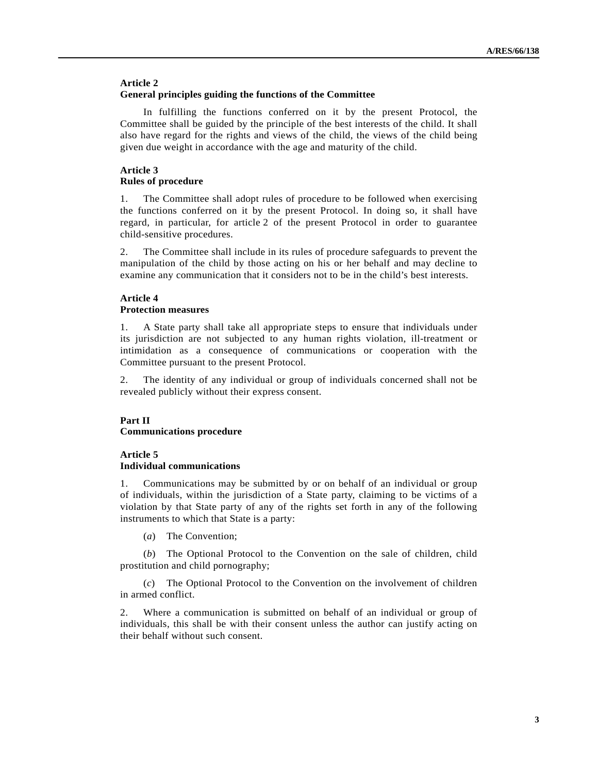### **Article 2 General principles guiding the functions of the Committee**

 In fulfilling the functions conferred on it by the present Protocol, the Committee shall be guided by the principle of the best interests of the child. It shall also have regard for the rights and views of the child, the views of the child being given due weight in accordance with the age and maturity of the child.

### **Article 3 Rules of procedure**

1. The Committee shall adopt rules of procedure to be followed when exercising the functions conferred on it by the present Protocol. In doing so, it shall have regard, in particular, for article 2 of the present Protocol in order to guarantee child-sensitive procedures.

2. The Committee shall include in its rules of procedure safeguards to prevent the manipulation of the child by those acting on his or her behalf and may decline to examine any communication that it considers not to be in the child's best interests.

## **Article 4 Protection measures**

1. A State party shall take all appropriate steps to ensure that individuals under its jurisdiction are not subjected to any human rights violation, ill-treatment or intimidation as a consequence of communications or cooperation with the Committee pursuant to the present Protocol.

2. The identity of any individual or group of individuals concerned shall not be revealed publicly without their express consent.

## **Part II**

#### **Communications procedure**

## **Article 5**

## **Individual communications**

1. Communications may be submitted by or on behalf of an individual or group of individuals, within the jurisdiction of a State party, claiming to be victims of a violation by that State party of any of the rights set forth in any of the following instruments to which that State is a party:

(*a*) The Convention;

 (*b*) The Optional Protocol to the Convention on the sale of children, child prostitution and child pornography;

 (*c*) The Optional Protocol to the Convention on the involvement of children in armed conflict.

2. Where a communication is submitted on behalf of an individual or group of individuals, this shall be with their consent unless the author can justify acting on their behalf without such consent.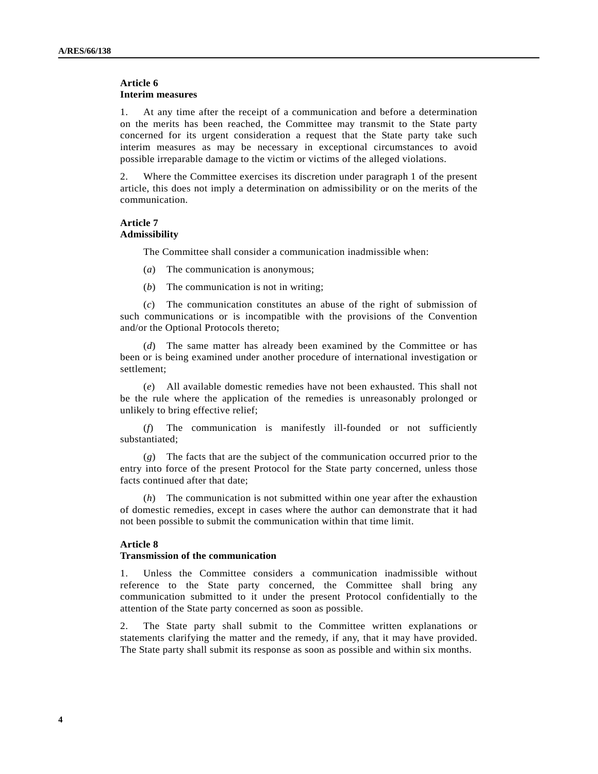#### **Article 6 Interim measures**

1. At any time after the receipt of a communication and before a determination on the merits has been reached, the Committee may transmit to the State party concerned for its urgent consideration a request that the State party take such interim measures as may be necessary in exceptional circumstances to avoid possible irreparable damage to the victim or victims of the alleged violations.

2. Where the Committee exercises its discretion under paragraph 1 of the present article, this does not imply a determination on admissibility or on the merits of the communication.

#### **Article 7 Admissibility**

The Committee shall consider a communication inadmissible when:

- (*a*) The communication is anonymous;
- (*b*) The communication is not in writing;

 (*c*) The communication constitutes an abuse of the right of submission of such communications or is incompatible with the provisions of the Convention and/or the Optional Protocols thereto;

 (*d*) The same matter has already been examined by the Committee or has been or is being examined under another procedure of international investigation or settlement;

 (*e*) All available domestic remedies have not been exhausted. This shall not be the rule where the application of the remedies is unreasonably prolonged or unlikely to bring effective relief;

 (*f*) The communication is manifestly ill-founded or not sufficiently substantiated;

 (*g*) The facts that are the subject of the communication occurred prior to the entry into force of the present Protocol for the State party concerned, unless those facts continued after that date;

 (*h*) The communication is not submitted within one year after the exhaustion of domestic remedies, except in cases where the author can demonstrate that it had not been possible to submit the communication within that time limit.

#### **Article 8**

#### **Transmission of the communication**

1. Unless the Committee considers a communication inadmissible without reference to the State party concerned, the Committee shall bring any communication submitted to it under the present Protocol confidentially to the attention of the State party concerned as soon as possible.

2. The State party shall submit to the Committee written explanations or statements clarifying the matter and the remedy, if any, that it may have provided. The State party shall submit its response as soon as possible and within six months.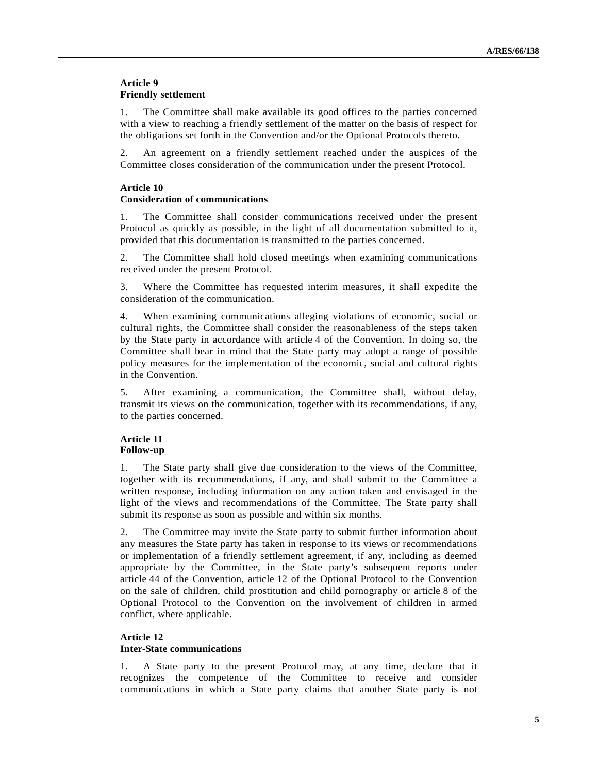#### **Article 9 Friendly settlement**

1. The Committee shall make available its good offices to the parties concerned with a view to reaching a friendly settlement of the matter on the basis of respect for the obligations set forth in the Convention and/or the Optional Protocols thereto.

2. An agreement on a friendly settlement reached under the auspices of the Committee closes consideration of the communication under the present Protocol.

#### **Article 10**

### **Consideration of communications**

1. The Committee shall consider communications received under the present Protocol as quickly as possible, in the light of all documentation submitted to it, provided that this documentation is transmitted to the parties concerned.

2. The Committee shall hold closed meetings when examining communications received under the present Protocol.

3. Where the Committee has requested interim measures, it shall expedite the consideration of the communication.

4. When examining communications alleging violations of economic, social or cultural rights, the Committee shall consider the reasonableness of the steps taken by the State party in accordance with article 4 of the Convention. In doing so, the Committee shall bear in mind that the State party may adopt a range of possible policy measures for the implementation of the economic, social and cultural rights in the Convention.

5. After examining a communication, the Committee shall, without delay, transmit its views on the communication, together with its recommendations, if any, to the parties concerned.

#### **Article 11 Follow-up**

1. The State party shall give due consideration to the views of the Committee, together with its recommendations, if any, and shall submit to the Committee a written response, including information on any action taken and envisaged in the light of the views and recommendations of the Committee. The State party shall submit its response as soon as possible and within six months.

2. The Committee may invite the State party to submit further information about any measures the State party has taken in response to its views or recommendations or implementation of a friendly settlement agreement, if any, including as deemed appropriate by the Committee, in the State party's subsequent reports under article 44 of the Convention, article 12 of the Optional Protocol to the Convention on the sale of children, child prostitution and child pornography or article 8 of the Optional Protocol to the Convention on the involvement of children in armed conflict, where applicable.

### **Article 12 Inter-State communications**

1. A State party to the present Protocol may, at any time, declare that it recognizes the competence of the Committee to receive and consider communications in which a State party claims that another State party is not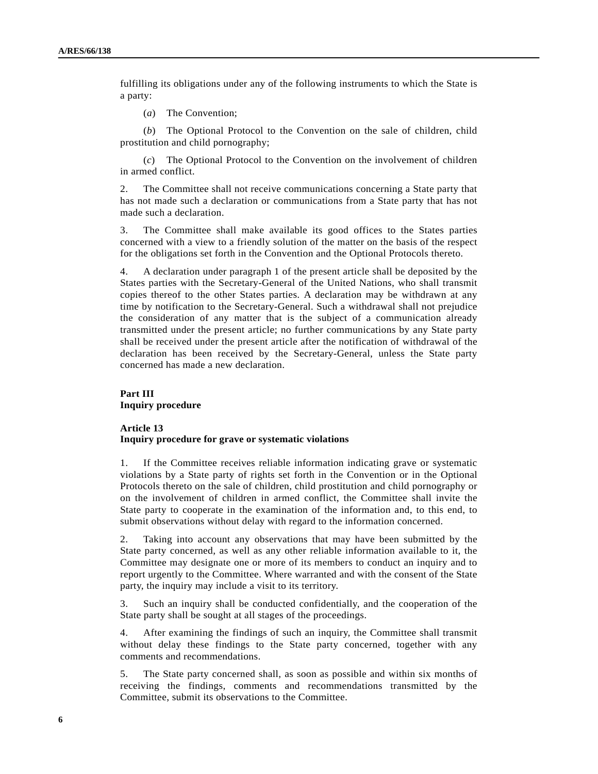fulfilling its obligations under any of the following instruments to which the State is a party:

(*a*) The Convention;

 (*b*) The Optional Protocol to the Convention on the sale of children, child prostitution and child pornography;

 (*c*) The Optional Protocol to the Convention on the involvement of children in armed conflict.

2. The Committee shall not receive communications concerning a State party that has not made such a declaration or communications from a State party that has not made such a declaration.

3. The Committee shall make available its good offices to the States parties concerned with a view to a friendly solution of the matter on the basis of the respect for the obligations set forth in the Convention and the Optional Protocols thereto.

4. A declaration under paragraph 1 of the present article shall be deposited by the States parties with the Secretary-General of the United Nations, who shall transmit copies thereof to the other States parties. A declaration may be withdrawn at any time by notification to the Secretary-General. Such a withdrawal shall not prejudice the consideration of any matter that is the subject of a communication already transmitted under the present article; no further communications by any State party shall be received under the present article after the notification of withdrawal of the declaration has been received by the Secretary-General, unless the State party concerned has made a new declaration.

#### **Part III Inquiry procedure**

#### **Article 13 Inquiry procedure for grave or systematic violations**

1. If the Committee receives reliable information indicating grave or systematic violations by a State party of rights set forth in the Convention or in the Optional Protocols thereto on the sale of children, child prostitution and child pornography or on the involvement of children in armed conflict, the Committee shall invite the State party to cooperate in the examination of the information and, to this end, to submit observations without delay with regard to the information concerned.

2. Taking into account any observations that may have been submitted by the State party concerned, as well as any other reliable information available to it, the Committee may designate one or more of its members to conduct an inquiry and to report urgently to the Committee. Where warranted and with the consent of the State party, the inquiry may include a visit to its territory.

3. Such an inquiry shall be conducted confidentially, and the cooperation of the State party shall be sought at all stages of the proceedings.

4. After examining the findings of such an inquiry, the Committee shall transmit without delay these findings to the State party concerned, together with any comments and recommendations.

5. The State party concerned shall, as soon as possible and within six months of receiving the findings, comments and recommendations transmitted by the Committee, submit its observations to the Committee.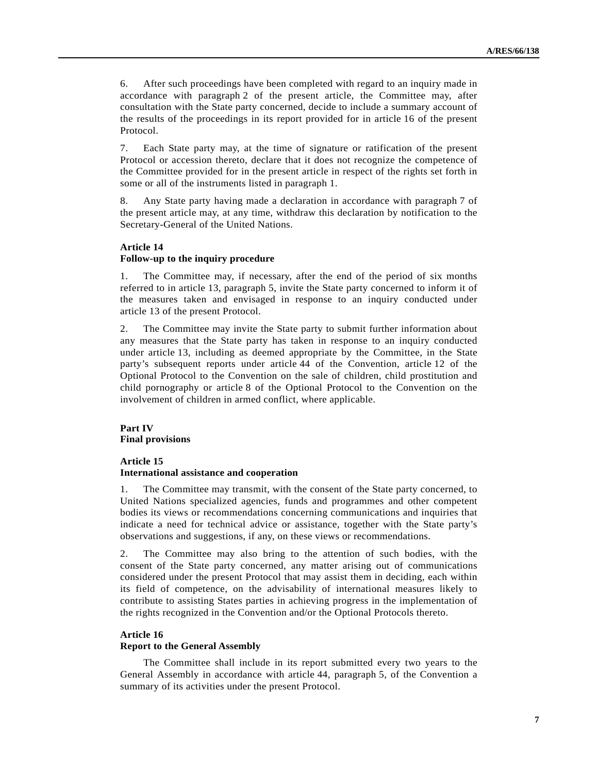6. After such proceedings have been completed with regard to an inquiry made in accordance with paragraph 2 of the present article, the Committee may, after consultation with the State party concerned, decide to include a summary account of the results of the proceedings in its report provided for in article 16 of the present Protocol.

7. Each State party may, at the time of signature or ratification of the present Protocol or accession thereto, declare that it does not recognize the competence of the Committee provided for in the present article in respect of the rights set forth in some or all of the instruments listed in paragraph 1.

8. Any State party having made a declaration in accordance with paragraph 7 of the present article may, at any time, withdraw this declaration by notification to the Secretary-General of the United Nations.

## **Article 14**

## **Follow-up to the inquiry procedure**

1. The Committee may, if necessary, after the end of the period of six months referred to in article 13, paragraph 5, invite the State party concerned to inform it of the measures taken and envisaged in response to an inquiry conducted under article 13 of the present Protocol.

2. The Committee may invite the State party to submit further information about any measures that the State party has taken in response to an inquiry conducted under article 13, including as deemed appropriate by the Committee, in the State party's subsequent reports under article 44 of the Convention, article 12 of the Optional Protocol to the Convention on the sale of children, child prostitution and child pornography or article 8 of the Optional Protocol to the Convention on the involvement of children in armed conflict, where applicable.

#### **Part IV Final provisions**

#### **Article 15**

## **International assistance and cooperation**

1. The Committee may transmit, with the consent of the State party concerned, to United Nations specialized agencies, funds and programmes and other competent bodies its views or recommendations concerning communications and inquiries that indicate a need for technical advice or assistance, together with the State party's observations and suggestions, if any, on these views or recommendations.

2. The Committee may also bring to the attention of such bodies, with the consent of the State party concerned, any matter arising out of communications considered under the present Protocol that may assist them in deciding, each within its field of competence, on the advisability of international measures likely to contribute to assisting States parties in achieving progress in the implementation of the rights recognized in the Convention and/or the Optional Protocols thereto.

## **Article 16**

#### **Report to the General Assembly**

 The Committee shall include in its report submitted every two years to the General Assembly in accordance with article 44, paragraph 5, of the Convention a summary of its activities under the present Protocol.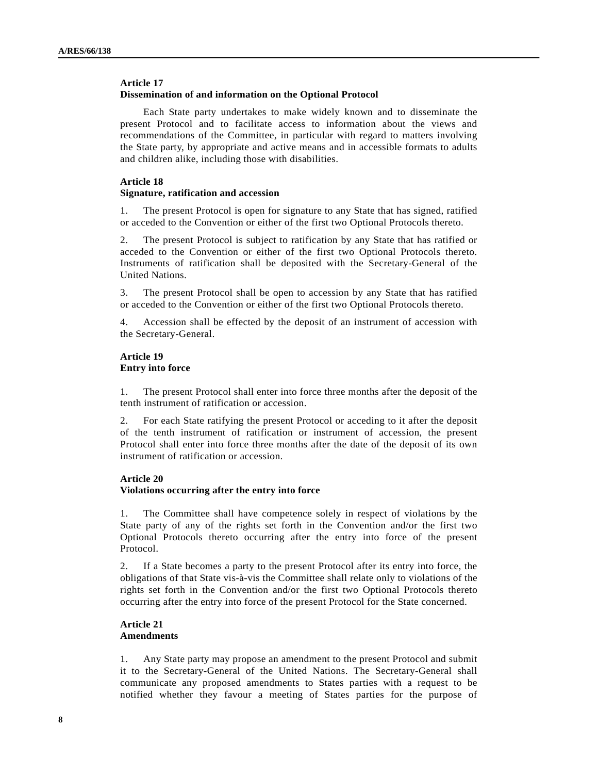#### **Article 17 Dissemination of and information on the Optional Protocol**

 Each State party undertakes to make widely known and to disseminate the present Protocol and to facilitate access to information about the views and recommendations of the Committee, in particular with regard to matters involving the State party, by appropriate and active means and in accessible formats to adults and children alike, including those with disabilities.

### **Article 18**

#### **Signature, ratification and accession**

1. The present Protocol is open for signature to any State that has signed, ratified or acceded to the Convention or either of the first two Optional Protocols thereto.

2. The present Protocol is subject to ratification by any State that has ratified or acceded to the Convention or either of the first two Optional Protocols thereto. Instruments of ratification shall be deposited with the Secretary-General of the United Nations.

3. The present Protocol shall be open to accession by any State that has ratified or acceded to the Convention or either of the first two Optional Protocols thereto.

4. Accession shall be effected by the deposit of an instrument of accession with the Secretary-General.

### **Article 19 Entry into force**

1. The present Protocol shall enter into force three months after the deposit of the tenth instrument of ratification or accession.

2. For each State ratifying the present Protocol or acceding to it after the deposit of the tenth instrument of ratification or instrument of accession, the present Protocol shall enter into force three months after the date of the deposit of its own instrument of ratification or accession.

#### **Article 20**

#### **Violations occurring after the entry into force**

1. The Committee shall have competence solely in respect of violations by the State party of any of the rights set forth in the Convention and/or the first two Optional Protocols thereto occurring after the entry into force of the present Protocol.

2. If a State becomes a party to the present Protocol after its entry into force, the obligations of that State vis-à-vis the Committee shall relate only to violations of the rights set forth in the Convention and/or the first two Optional Protocols thereto occurring after the entry into force of the present Protocol for the State concerned.

#### **Article 21 Amendments**

1. Any State party may propose an amendment to the present Protocol and submit it to the Secretary-General of the United Nations. The Secretary-General shall communicate any proposed amendments to States parties with a request to be notified whether they favour a meeting of States parties for the purpose of